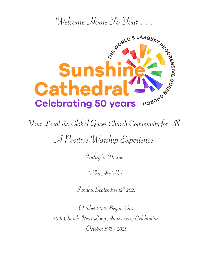

Your Local & Global Queer Church Community for All

A Positive Worship Experience

Today's Theme

Who Are We?

Sunday, September 12<sup>th</sup> 2021

October 2020 Began Our 50th Church Year Long Anniversary Celebration October 1971 - 2021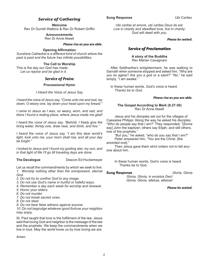# *Service of Gathering*

**Welcome**

Rev Dr Durrell Watkins & Rev Dr Robert Griffin

# **Announcements**

Rev Dr Anne Atwell

#### *Please rise as you are able.*

### **Opening Affirmation**

*Sunshine Cathedral is a different kind of church where the past is past and the future has infinite possibilities.*

# **The Call to Worship**

This is the day our God has made. *Let us rejoice and be glad in it.*

# *Service of Praise*

### **Processional Hymn**

*I Heard the Voice of Jesus Say*

*I heard the voice of Jesus say, "Come unto me and rest; lay down, O weary one, lay down your head upon my breast."*

*I came to Jesus as I was, so weary, worn, and sad, and there I found a resting place, where Jesus made me glad!*

*I heard the voice of Jesus say, "Behold, I freely give the living water, thirsty one, draw near, and drink, and live."*

*I heard the voice of Jesus say, "I am this dear world's light, look unto me, your morn shall rise, and all your day be bright."*

*I looked to Jesus and I found my guiding star, my sun; and in that light of life I'll go till traveling days are done.*

**The Decalogue** Deacon Ed Huckemeyer

Let us recall the commandments by which we seek to live: *1. Worship nothing other than the omnipresent, eternal God.*

*2. Do not try to confine God to any image.*

- *3. Do not use God's name in hurtful or hateful ways.*
- *4. Remember a day each week for worship and renewal.*
- *5. Honor your elders.*
- *6. Do not murder.*
- *7. Do not break sacred vows.*
- *8. Do not steal.*
- *9. Do not bear false witness against anyone.*

*10. Do not begrudge whatever good fortune your neighbor may enjoy.*

St. Paul taught that love is the fulfillment of the law. Jesus said that loving God and neighbor is the message of the law and the prophets. We keep the commandments when we live in love. May the world know us by how loving we are.

*Amen.* 

# **Sung Response** *Ubi Caritas*

*Ubi caritas et amore, ubi caritas Deus ibi est. Live in charity and steadfast love, live in charity; God will dwell with you.*

#### *Please be seated.*

# *Service of Proclamation*

**A story of the Buddha** Rev Marian Cavagnaro

After Siddhartha's enlightenment, he was walking to Sarnath when someone stopped and asked him, "Why are you so aglow? Are you a god or a saint?" "No," he said simply, "I am awake."

In these human words, God's voice is heard. *Thanks be to God.* 

#### *Please rise as you are able.*

#### **The Gospel According to Mark (8.27-30)** Rev Dr Anne Atwell

Jesus and his disciples set out for the villages of Caesarea Philippi. Along the way he asked his disciples, "Who do people say that I am?" They responded, "[Some say] John the baptizer; others say Elijah; and still others, one of the prophets."

"But you," he asked, "who do you say that I am?" Peter answered him, "You are the Christ. [the

anointed one]."

Then Jesus gave them strict orders not to tell anyone about him.

> In these human words, God's voice is heard. Thanks be to God.

#### **Sung Response** *Gloria, Gloria*

*Gloria, Gloria, in excelsis Deo! Gloria, Gloria, alleluia, alleluia!*

#### *Please be seated.*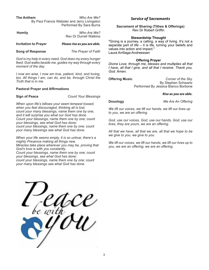**The Anthem** *Who Are We?* By Paul Francis Webster and Jerry Livingston Performed By Sara Burns

| <b>Homily</b>               | Who Are We?<br><b>Rev Dr Durrell Watkins</b> |  |
|-----------------------------|----------------------------------------------|--|
| <b>Invitation to Prayer</b> | Please rise as you are able.                 |  |
| <b>Song of Response</b>     | The Prayer of Faith                          |  |

*God is my help in every need; God does my every hunger feed; God walks beside me, guides my way through every moment of the day.*

*I now am wise, I now am true, patient, kind, and loving, too. All things I am, can do, and be, through Christ the Truth that is in me.*

#### **Pastoral Prayer and Affirmations**

**Sign of Peace** *Count Your Blessings*

*When upon life's billows your seem tempest tossed, when you feel discouraged, thinking all is lost, count your many blessings, name them one by one, and it will surprise you what our God has done. Count your blessings, name them one by one; count your blessings, see what God has done; count your blessings, name them one by one; count your many blessings see what God has done.*

*When your life seems empty, it is so untrue; there's a mighty Presence making all things new. Miracles take place wherever you may be, proving that God's love is with you constantly. Count your blessings, name them one by one; count your blessings, see what God has done; count your blessings, name them one by one; count your many blessings see what God has done.*

# *Service of Sacraments*

**Sacrament of Sharing (Tithes & Offerings)** Rev Dr Robert Griffin

#### **Stewardship Thought**

"Giving is a journey, a calling, a way of living. It's not a separate part of life – it is life, turning your beliefs and values into action and impact." Laura Arrillaga-Andreessen

#### **Offering Prayer**

*Divine Love, through me, blesses and multiplies all that I have, all that I give, and all that I receive. Thank you, God. Amen.*

**Offering Music** *Corner of the Sky* By Stephen Schwartz Performed By Jessica Bianco Borbone

#### *Rise as you are able.*

**Doxology** *We Are An Offering*

*We lift our voices, we lift our hands, we lift our lives up to you, we are an offering.*

*God, use our voices, God, use our hands, God, use our lives, they are yours, we are an offering.*

*All that we have, all that we are, all that we hope to be we give to you, we give to you.*

*We lift our voices, we lift our hands, we lift our lives up to you, we are an offering; we are an offering.*

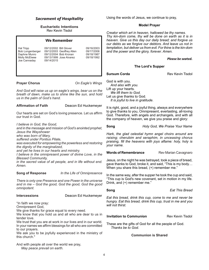# *Sacrament of Hospitality*

#### **Eucharistic Intentions** Rev Kevin Tisdol

### **We Remember**

Bob Longenberger Daphne Munro Molly McElwee 09/13/1999<br>Joe Cannaday 09/14/2015 Joe Cannaday

Hal Tripp 09/12/2002 Bill Glover 09/16/2003 09/12/2003 Geoffrey Allen 09/17/2006<br>09/12/2004 Bob Kronan 09/18/1987 09/12/2004 Bob Kronan 09/18/1987<br>09/13/1999 Jose Alvarez 09/18/1992 09/13/1999 Jose Alvarez

**Prayer Chorus** *On Eagle's Wings* 

*And God will raise us up on eagle's wings, bear us on the breath of dawn, make us to shine like the sun, and hold us in the palm of God's hand.*

#### **Affirmation of Faith** Deacon Ed Huckemeyer

Our hearts are set on God's loving presence. Let us affirm our trust in God.

*I believe in God, the Good,*

*and in the message and mission of God's anointed prophet, Jesus the Wayshower*

*who was born of Mary,* 

*suffered under Pontius Pilate,*

*was executed for empowering the powerless and restoring the dignity of the marginalized,*

*and yet he lives in our hearts and ministry.*

*I believe in the omnipresent power of divine Love, in the Blessed Community,*

*in the sacred value of all people, and in life without end. Amen.*

#### **Song of Response** *In the Life of Omnipresence*

*There is only one Presence and one Power in the universe and in me – God the good, God the good, God the good omnipotent.*

**Intercessions** Deacon Ed Huckemeyer

"In faith we now pray:

Omnipresent God,

We give thanks for grace equal to every need.

We know that you hold us and all who are dear to us in tender love.

We trust that you are at work in our lives and in our world. In your names we affirm blessings for all who are committed to our prayers.

We ask you to be joyfully experienced in the ministry of this church."

And with people all over the world we pray, *May peace prevail on earth.*

Using the words of Jesus, we continue to pray,

#### **Model Prayer**

*Creator which art in heaven, hallowed be thy names. Thy kin-dom come, thy will be done on earth as it is in heaven. Give us this day our daily bread; and forgive us our debts as we forgive our debtors. And leave us not in temptation, but deliver us from evil. For thine is the kin-dom and the power and the glory, forever. Amen.*

#### *Please be seated.*

#### **The Lord's Supper**

**Sursum Corda Rev** Kevin Tisdol

God is with you. *And also with you.* Lift up your hearts. *We lift them to God.* Let us give thanks to God. *It is joyful to live in gratitude.*

It is right, good, and a joyful thing, always and everywhere to give thanks to you, Omnipresent, everlasting, all-loving God. Therefore, with angels and archangels, and with all the company of heaven, we give you praise and glory:

**Song** *Holy God, We Praise Your Name*

*Hark, the glad celestial hymn angel choirs around are raising; cherubim and seraphim, in unceasing chorus praising, fill the heavens with joys aflame: holy, holy is your name.*

### **Words of Remembrance** Rev Marian Cavagnaro

Jesus, on the night he was betrayed, took a piece of bread, gave thanks to God, broke it, and said, "This is my body… When you share this bread, (+) remember me."

In the same way, after the supper he took the cup and said, "This cup is God's new covenant, set in motion in my life. Drink, and (+) remember me."

# **Song** *Eat This Bread*

*Eat this bread, drink this cup, come to me and never be hungry. Eat this bread, drink this cup, trust in me and you will not thirst.*

#### **Invitation to Communion Rev Kevin Tisdol**

These are the gifts of God for all the people of God. *Thanks be to God.*

**Communion is Shared**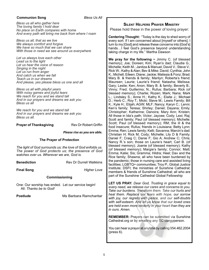#### **Communion Song** *Bless Us All*

*Bless us all who gather here The loving family I hold dear No place on Earth compares with home And every path will bring me back from where I roam*

*Bless us all, that as we live We always comfort and forgive We have so much that we can share With those in need we see around us everywhere*

*Let us always love each other Lead us to the light Let us hear the voice of reason Singing in the night Let us run from anger And catch us when we fall Teach us in our dreams And please, yes please bless us one and all*

*Bless us all with playful years With noisy games and joyful tears We reach for you and we stand tall And in our prayers and dreams we ask you Bless us all*

*We reach for you and we stand tall And in our prayers and dreams we ask you Bless us all.*

### **Prayer of Thanksgiving Rev Dr Robert Griffin**

*Please rise as you are able.*

## **The Prayer of Protection**

*The light of God surrounds us; the love of God enfolds us. The power of God protects us; the presence of God watches over us. Wherever we are, God is.*

**Benediction Rev Dr Durrell Watkkins** 

**Final Song** *Higher Love* 

**Commissioning**

One: Our worship has ended. Let our service begin! All: *Thanks be to God!*

**Postlude** Ms Barbara Ramcharitar

# **Silent Helpers Prayer Ministry**

Please hold these in the power of loving prayer:

**Centering Thought:** "Today is the day to shed worry of every sort. If I am concerned about [myself or others], I turn to my [God] and release these concerns into [God's] hands…I feel God's presence beyond understanding taking charge in my life." Martha Dawson

**We pray for the following ~** Jimmy C. (of blessed memory); Joe; Doreen; Kim; Ryan's dad; Claudia G.; Michelle; Keith M.; Janitza & Manuel; David V.; Steve V.; Rick W.; Kathy & Alan; Bev & Mike; David; Cynthia; John K.; Michell; Eileen; Diane; Jackie; Malissia & Fonz; Brad; Mary B. & friends & family; Marilyn; Roberta's friend; Maureen; Laurie; Laurie's friend; Natasha; Melissa; Gary; Leslie; Ken; Anon; Mary B. & family; Beverly B.; Vinny; Fred; Guillermo; N.; Rufus; Barbara; Rick (of blessed memory); Charlie; Rozen; Mark; Nana; Mark L.; Lindsley S.; Anne H.; Kathy K.; Elaite J.; Michael D.; Herb C.; Roy T.; Micki; Steve M.; Lewis Family; Bill K.; Kyle H.; Elijah; AGW; MLF; Nancy; Karyn C.; Lenni; Ken's family; Teresa; Shirley; Daniel; Dayana; Emily; Christopher; Katherine; Danoira; Mary Ann; Kristen; All those in Ida's path; Victor; Jaycee; Cody; Lexi; Raj; Scott and family; Paul (of blessed memory); Michelle; Scott; Paul (of blessed memory); RM; the ill & the food insecure; Rufus; friends in Louisiana; Betty Lynn; Emma; Ren; Lewis family; Kelli; Savanna; Marcin's dad; Christian H; Rick M; Cody; Michelle; Lily D & Family; Daniel F; Craig C; Danie F; Gio A; Andrew C; Chris; Nancy R.'s son; those on Laurie's heart; Carl B. (of blessed memory); Joanie (of blessed memory); Kathy (of blessed memory); Margie's family; Connor; Matt; Emma; Katie; Sis; Gramma; Hildra; Heel; Dav and the Rice family; Shawna; all who have been burdened by the pandemic; those in nursing care and assisted living facilities; LGBTQ+ communities; Troy P.; Global Justice Institute; DSFI; the ministries of Sunshine Cathedral; members & friends of Sunshine Cathedral; all who are part of the Sunshine Cathedral Global Fellowship

**LET US PRAY:** *Dear God, Trusting in grace equal to every need, we release our cares and concerns to you. Take our burdens. Transform them. Take our hurts and heal them. Replace our fears with hope, our sorrow with joy, our regrets with peace, and our self-doubts with self-esteem. And let us know that our loved ones are held even more tenderly in your heart than they are in ours. Amen.* 

**REMEMBER:** Prayers can be submitted via Sunshine Cathedral.org or by emailing any SC clergyperson.

You can hear a prayer at anytime by calling 954.462.2004 (press 6).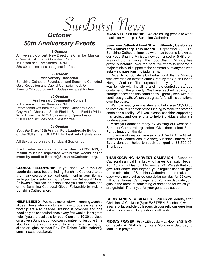SunBurst News

# *October 50th Anniversary Events*

#### *3 October*

Anniversary Concert: New Directions Chamber Musical - Guest Artist: Joana Gonzalez, Piano In Person and Live Stream - 4PM \$50.00 and includes one guest for free.

## *9 October* **Anniversary Reception**

Sunshine Cathedral Foundation and Sunshine Cathedral Gala Reception and Capital Campaign Kick-Off Time: 6PM - \$50.00 and includes one guest for free.

# *16 October*

**Anniversary Community Concert**

In Person and Live Stream - 7PM Representatives from the Sunshine Cathedral Choir, Gay Men's Chorus of South Florida, South Florida Pride Wind Ensemble, NOVA Singers and Opera Fusion \$50.00 and includes one guest for free.

#### *24 October*

*Save the Date:* **13th Annual Fort Lauderdale Edition of the OUTshine LGBTQ+ Film Festival** - Details soon.

**All tickets go on sale Sunday, 5 September.**

**If a ticketed event is cancelled due to COVID-19, a refund must be requested within two weeks of the event by email to Robert@SunshineCathedral.org.**

**GLOBAL FELLOWSHIP** - If you don't live in the Fort Lauderdale area but are finding Sunshine Cathedral to be a primary source of spiritual enrichment in your life, we invite you to consider joining the Sunshine Cathedral Global Fellowship. You can learn about how you can become part of the Sunshine Cathedral Global Fellowship by visiting SunshineCathedral.org

**HELP NEEDED** – We need more help with running worship slides. Those who wish to learn how to operate lights for worship are also needed. Training is provided and one need only be scheduled once every few weeks. It's a great help if you are available for both 9 am and 10:30 services on a given Sunday, but you can volunteer for just one time slot. For more information or to schedule a training on slides or lights, contact Rev. Dr. Robert Griffin (robert@ sunshinecathedral.org).

**MASKS FOR WORSHIP** – we are asking people to wear masks for worship at Sunshine Cathedral.

#### **Sunshine Cathedral Food Sharing Ministry Celebrates 5th Anniversary This Month** – September 7, 2016, Sunshine Cathedral lauched what has become known as our Food Sharing Ministry, now comprised of 5 different areas of programming. The Food Sharing Ministry has grown substantial over the past five years to become a major ministry of support to the community, to anyone who asks – no questions, no judgments.

Recently, our Sunshine Cathedral Food Sharing Ministry was awarded an Infrastructure Grant by the South Florida Hunger Coalition. The purpose in applying for the grant was to help with installing a climate-controlled storage container on the property. We have reached capacity for storage space and this container will greatly help with our continued growth. We are very grateful for all the donations over the years.

We now need your assistance to help raise \$8,500.00 to complete this portion of the funding to make the storage container a reality. Will you please consider supporting this project and our efforts to help individuals who are food-insecure.

Make you donation today by visinting our website at SunshineCathedral.org, select Give then select Food Pantry image on the right.

For more information please contact Rev Dr Anne Atwell, Minister of Connections, at Anne@SunshineCatheral.org. Every donation helps to reach our goal of \$8,500.00. Thank you.

**THANKSGIVING HARVEST CAMPAIGN** - Sunshine Cathedral's annual Thanksgiving Harvest Campaign began Aug 15 and will last until November 21. We ask that you give \$99 above and beyond your regular financial gifts to the ministries of Sunshine Cathedral and to make that easy, we simply put aside one dollar per day for 99 days. Fill out a Harvest Campaign card. You can dedicate your gifts in the name of something or someone for which you are grateful. Thank you for your generous support.

**CHRISTIANS & COCKTAILS** - Join us on Mondays for Christians & Cocktails (6 pm EASTERN, Facebook) where a panel of lay and clergy leaders discuss religious questions asked by viewers. No question is off limits.

**MIDDAY PRAYER** - Pray with us daily at Noon EASTERN on Facebook. Staff clergy rotate Monday – Saturday to lead us in prayer.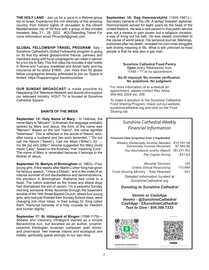**THE HOLY LAND** - Join us for a once in a lifetime group trip to Israel. Experience the rich diversity of this amazing country, from historic sights of Jerusalem to the vibrant Mediterranean city of Tel Aviv with a group of like-minded travelers. May 21 - 28, 2022 #OUTstanding Travel For more information email Pkcordell@gmail.com

**GLOBAL FELLOWSHIP TRAVEL PROGRAM**: Italy - Sunshine Cathedral's Global Fellowship program is going on its first trip where global/online friends, partners and members along with local congregants can meet in person for a fun trip to Italy. This first class trip includes 4-star hotels in Rome and Tuscany, breakfast and dinner daily, and trip insurance all for about \$1800. Join more than 60 global fellow congregants already scheduled to join us. Space is limited. https://happeningout.travel/sunshine

**OUR SUNDAY BROADCAST** is made possible by Happening Out Television Network and donors who support our televised ministry. HOUT TV is housed at Sunshine Cathedral Square.

## **SAINTS OF THE WEEK**

**September 12: Holy Name of Mary** - In Hebrew, the name Mary is "Miryam". In Aramaic the language probably spoken by Mary and Jesus, the form of the name was "Mariam". Based on the root "merur", the name signifies "bitterness". This is reflected in the words of Naomi, who, after losing a husband and two sons lamented, " "Do not call me Naomi ('Sweet'). Call me Mara ('Bitter'), for … my life [is] very bitter." Jerome suggested the Mary could mean "Lady", based on the Aramaic "mar" meaning "Lord." The name of Mary is venerated because it belongs to the Mother of Jesus.

**September 15: Martyrs of Birmingham** (d. 1963)—Four young girls. A few weeks after Martin Luther King has given his famous speech, "I Have a Dream," and in the midst of an intense summer of civil disobedience and demonstrations, the situation in Birmingham, Alabama had come to a head. The nation watched as fire hoses and attack dogs had dramatized the evil of racism. On a peaceful Sunday morning someone threw dynamite through the basement window of the 16th Street Baptist Church, where four young girls, who had just finished their Sunday School class, were changing into choir robes. In their eulogy Dr. King called them "martyred heroines of a holy crusade for freedom and human dignity."

**September 17: St. Hildegard of Bingen** (1098-1179)— Abbess and visionary. Hildegard started as a simple Benedictine nun, but excelled as an author, prophet, preacher, theologian, musician, composer, poet, doctor, and pharmacist. Her intense visions and ecological and holistic spirituality speak strongly to our own time.

**September 18: Dag Hammarskjöld** (1905-1961)— Secretary General of the UN. A skilled Swedish diplomat, Hammarskjöld served for eight years as the head of the United Nations. He was a rare person in that public service was not a means to gain power, but a religious vocation, a way of living out his faith. He was deeply committed to the cause of world peace. His personal journal, Markings, published after his death, revealed his own inner struggles with finding meaning in life. What is still unknown to most people is that he was also a gay man.

#### **Sunshine Cathedral Food Pantry Open** every Wednesday from 11AM – ?? or by appointment

#### **No ID required. No income verification. No questions. No judgment.**

For more information or to schedule an appointment, please contact Rev. Anne 954-462-2004 ext. 208

To make a donation to the Sunshine Cathedral Food Sharing Program, check out our website sunshinecathedral.org and click on the Food Sharing tab.

# *Sunshine Cathedral Weekly Financial Information*

#### *Financial Data Snapshot from 5 September*

| <b>Weekly Generosity Income Needed</b><br>Generosity Income Received | \$10.797.56<br>\$7,565.96 |
|----------------------------------------------------------------------|---------------------------|
| Our Abundance and/or (Need)                                          | (\$3,231.60)              |
| Per Capita Giving                                                    | \$31.63                   |
|                                                                      |                           |
| <b>Worship Services</b>                                              | 135                       |
| <b>Online Virtual Resourcing</b>                                     | 113,884                   |
| Food Sharing Ministry - Total Reached                                | 523                       |
| Detailed information located at<br>SunshineCathedral.org             |                           |

*Donating to Sunshine Cathedral* 

*Venmo or CashApp Venmo - @SunshineCathedral CashApp - \$SunshineCathedral Text to Give - 954.399.7333*



Sunshine Cathedral **B** Scan to pay \$SunshineCathedral



venma